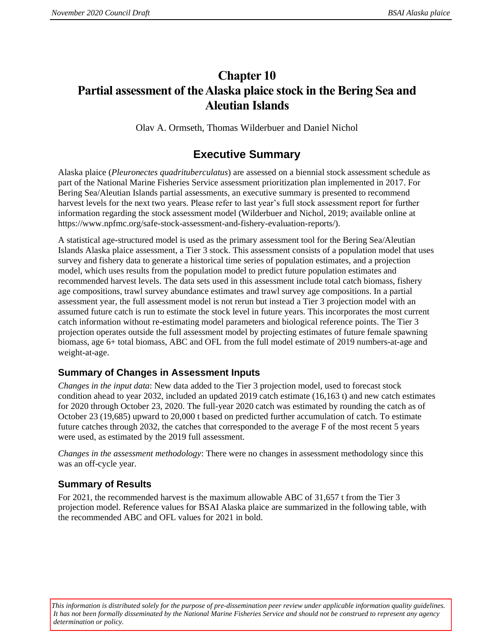# **Chapter 10 Partial assessment of the Alaska plaice stock in the Bering Sea and Aleutian Islands**

Olav A. Ormseth, Thomas Wilderbuer and Daniel Nichol

## **Executive Summary**

Alaska plaice (*Pleuronectes quadrituberculatus*) are assessed on a biennial stock assessment schedule as part of the National Marine Fisheries Service assessment prioritization plan implemented in 2017. For Bering Sea/Aleutian Islands partial assessments, an executive summary is presented to recommend harvest levels for the next two years. Please refer to last year's full stock assessment report for further information regarding the stock assessment model (Wilderbuer and Nichol, 2019; available online at https://www.npfmc.org/safe-stock-assessment-and-fishery-evaluation-reports/).

A statistical age-structured model is used as the primary assessment tool for the Bering Sea/Aleutian Islands Alaska plaice assessment, a Tier 3 stock. This assessment consists of a population model that uses survey and fishery data to generate a historical time series of population estimates, and a projection model, which uses results from the population model to predict future population estimates and recommended harvest levels. The data sets used in this assessment include total catch biomass, fishery age compositions, trawl survey abundance estimates and trawl survey age compositions. In a partial assessment year, the full assessment model is not rerun but instead a Tier 3 projection model with an assumed future catch is run to estimate the stock level in future years. This incorporates the most current catch information without re-estimating model parameters and biological reference points. The Tier 3 projection operates outside the full assessment model by projecting estimates of future female spawning biomass, age 6+ total biomass, ABC and OFL from the full model estimate of 2019 numbers-at-age and weight-at-age.

#### **Summary of Changes in Assessment Inputs**

*Changes in the input data*: New data added to the Tier 3 projection model, used to forecast stock condition ahead to year 2032, included an updated 2019 catch estimate (16,163 t) and new catch estimates for 2020 through October 23, 2020. The full-year 2020 catch was estimated by rounding the catch as of October 23 (19,685) upward to 20,000 t based on predicted further accumulation of catch. To estimate future catches through 2032, the catches that corresponded to the average F of the most recent 5 years were used, as estimated by the 2019 full assessment.

*Changes in the assessment methodology*: There were no changes in assessment methodology since this was an off-cycle year.

#### **Summary of Results**

For 2021, the recommended harvest is the maximum allowable ABC of 31,657 t from the Tier 3 projection model. Reference values for BSAI Alaska plaice are summarized in the following table, with the recommended ABC and OFL values for 2021 in bold.

*This information is distributed solely for the purpose of pre-dissemination peer review under applicable information quality guidelines. It has not been formally disseminated by the National Marine Fisheries Service and should not be construed to represent any agency determination or policy.*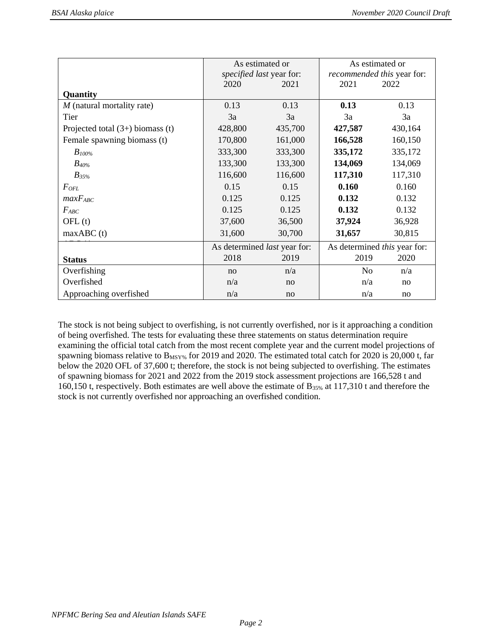|                                    | As estimated or                     |         | As estimated or                     |         |
|------------------------------------|-------------------------------------|---------|-------------------------------------|---------|
|                                    | specified last year for:            |         | recommended this year for:          |         |
|                                    | 2020                                | 2021    | 2021                                | 2022    |
| Quantity                           |                                     |         |                                     |         |
| $M$ (natural mortality rate)       | 0.13                                | 0.13    | 0.13                                | 0.13    |
| Tier                               | 3a                                  | 3a      | 3a                                  | 3a      |
| Projected total $(3+)$ biomass (t) | 428,800                             | 435,700 | 427,587                             | 430,164 |
| Female spawning biomass (t)        | 170,800                             | 161,000 | 166,528                             | 160,150 |
| $B_{100\%}$                        | 333,300                             | 333,300 | 335,172                             | 335,172 |
| $B_{40\%}$                         | 133,300                             | 133,300 | 134,069                             | 134,069 |
| $B_{35\%}$                         | 116,600                             | 116,600 | 117,310                             | 117,310 |
| $F_{OFL}$                          | 0.15                                | 0.15    | 0.160                               | 0.160   |
| $maxF_{ABC}$                       | 0.125                               | 0.125   | 0.132                               | 0.132   |
| $F_{ABC}$                          | 0.125                               | 0.125   | 0.132                               | 0.132   |
| OFL(t)                             | 37,600                              | 36,500  | 37,924                              | 36,928  |
| maxABC(t)                          | 31,600                              | 30,700  | 31,657                              | 30,815  |
|                                    | As determined <i>last</i> year for: |         | As determined <i>this</i> year for: |         |
| <b>Status</b>                      | 2018                                | 2019    | 2019                                | 2020    |
| Overfishing                        | no                                  | n/a     | No                                  | n/a     |
| Overfished                         | n/a                                 | no      | n/a                                 | no      |
| Approaching overfished             | n/a                                 | no      | n/a                                 | no      |

The stock is not being subject to overfishing, is not currently overfished, nor is it approaching a condition of being overfished. The tests for evaluating these three statements on status determination require examining the official total catch from the most recent complete year and the current model projections of spawning biomass relative to  $B_{MSY\%}$  for 2019 and 2020. The estimated total catch for 2020 is 20,000 t, far below the 2020 OFL of 37,600 t; therefore, the stock is not being subjected to overfishing. The estimates of spawning biomass for 2021 and 2022 from the 2019 stock assessment projections are 166,528 t and 160,150 t, respectively. Both estimates are well above the estimate of B35% at 117,310 t and therefore the stock is not currently overfished nor approaching an overfished condition.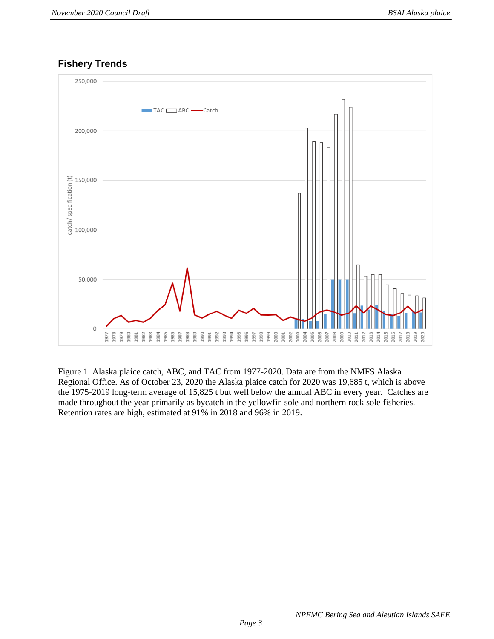### **Fishery Trends**



Figure 1. Alaska plaice catch, ABC, and TAC from 1977-2020. Data are from the NMFS Alaska Regional Office. As of October 23, 2020 the Alaska plaice catch for 2020 was 19,685 t, which is above the 1975-2019 long-term average of 15,825 t but well below the annual ABC in every year. Catches are made throughout the year primarily as bycatch in the yellowfin sole and northern rock sole fisheries. Retention rates are high, estimated at 91% in 2018 and 96% in 2019.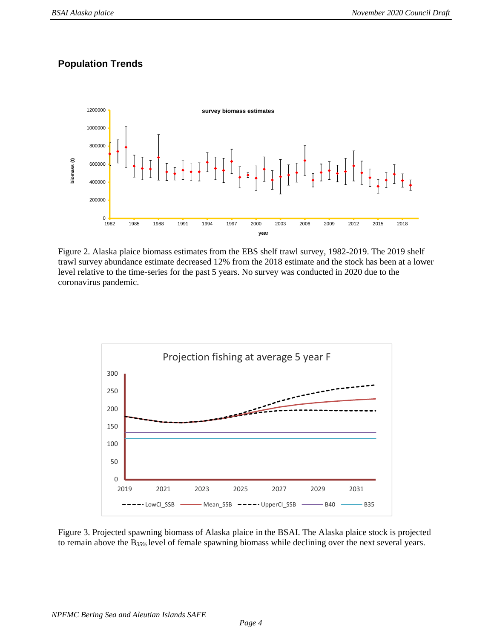#### **Population Trends**



Figure 2. Alaska plaice biomass estimates from the EBS shelf trawl survey, 1982-2019. The 2019 shelf trawl survey abundance estimate decreased 12% from the 2018 estimate and the stock has been at a lower level relative to the time-series for the past 5 years. No survey was conducted in 2020 due to the coronavirus pandemic.



Figure 3. Projected spawning biomass of Alaska plaice in the BSAI. The Alaska plaice stock is projected to remain above the B*35%* level of female spawning biomass while declining over the next several years.